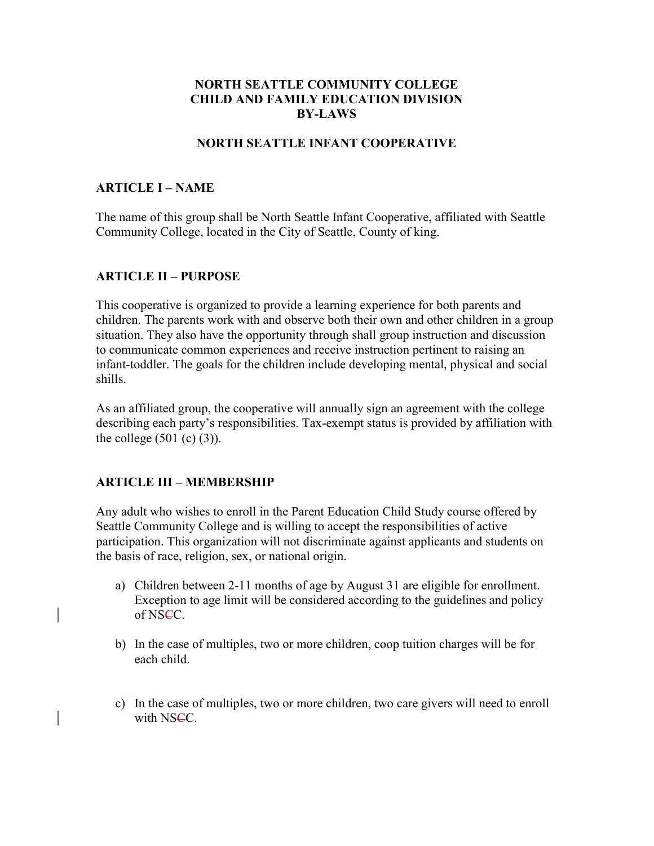### NORTH SEATTLE COMMUNITY COLLEGE CHILD AND FAMILY EDUCATION DIVISION BY-LAWS

## NORTH SEATTLE INFANT COOPERATIVE

#### ARTICLE I – NAME

The name of this group shall be North Seattle Infant Cooperative, affiliated with Seattle Community College, located in the City of Seattle, County of king.

### ARTICLE II – PURPOSE

This cooperative is organized to provide a learning experience for both parents and children. The parents work with and observe both their own and other children in a group situation. They also have the opportunity through shall group instruction and discussion to communicate common experiences and receive instruction pertinent to raising an infant-toddler. The goals for the children include developing mental, physical and social shills.

As an affiliated group, the cooperative will annually sign an agreement with the college describing each party's responsibilities. Tax-exempt status is provided by affiliation with the college  $(501 (c) (3))$ .

#### ARTICLE III – MEMBERSHIP

Any adult who wishes to enroll in the Parent Education Child Study course offered by Seattle Community College and is willing to accept the responsibilities of active participation. This organization will not discriminate against applicants and students on the basis of race, religion, sex, or national origin.

- a) Children between 2-11 months of age by August 31 are eligible for enrollment. Exception to age limit will be considered according to the guidelines and policy of NSCC.
- b) In the case of multiples, two or more children, coop tuition charges will be for each child.
- c) In the case of multiples, two or more children, two care givers will need to enroll with NSCC.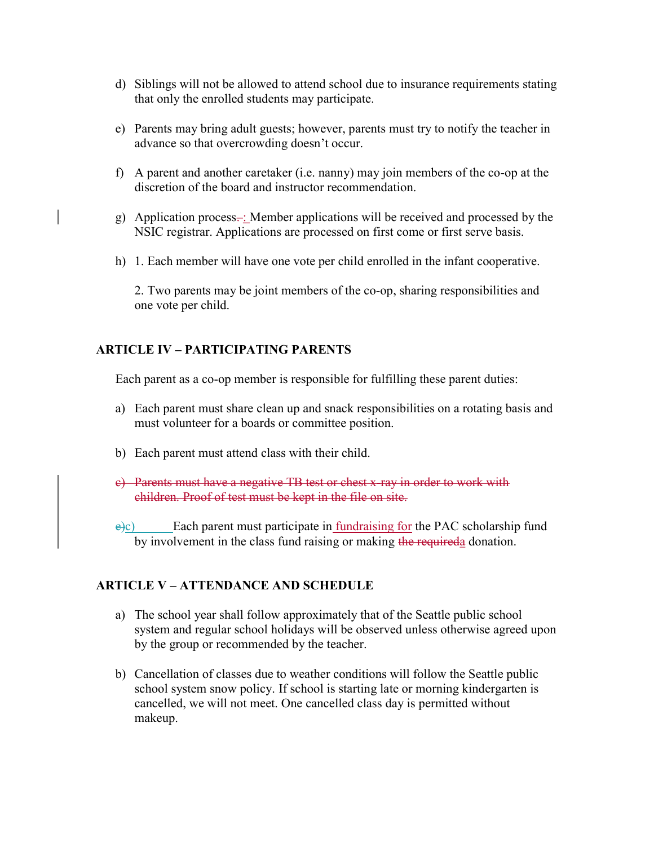- d) Siblings will not be allowed to attend school due to insurance requirements stating that only the enrolled students may participate.
- e) Parents may bring adult guests; however, parents must try to notify the teacher in advance so that overcrowding doesn't occur.
- f) A parent and another caretaker (i.e. nanny) may join members of the co-op at the discretion of the board and instructor recommendation.
- g) Application process $\div$ : Member applications will be received and processed by the NSIC registrar. Applications are processed on first come or first serve basis.
- h) 1. Each member will have one vote per child enrolled in the infant cooperative.

2. Two parents may be joint members of the co-op, sharing responsibilities and one vote per child.

## ARTICLE IV – PARTICIPATING PARENTS

Each parent as a co-op member is responsible for fulfilling these parent duties:

- a) Each parent must share clean up and snack responsibilities on a rotating basis and must volunteer for a boards or committee position.
- b) Each parent must attend class with their child.
- c) Parents must have a negative TB test or chest x-ray in order to work with children. Proof of test must be kept in the file on site.
- $\frac{\partial^2 c}{\partial x^2}$  Each parent must participate in <u>fundraising for</u> the PAC scholarship fund by involvement in the class fund raising or making the requireda donation.

## ARTICLE V – ATTENDANCE AND SCHEDULE

- a) The school year shall follow approximately that of the Seattle public school system and regular school holidays will be observed unless otherwise agreed upon by the group or recommended by the teacher.
- b) Cancellation of classes due to weather conditions will follow the Seattle public school system snow policy. If school is starting late or morning kindergarten is cancelled, we will not meet. One cancelled class day is permitted without makeup.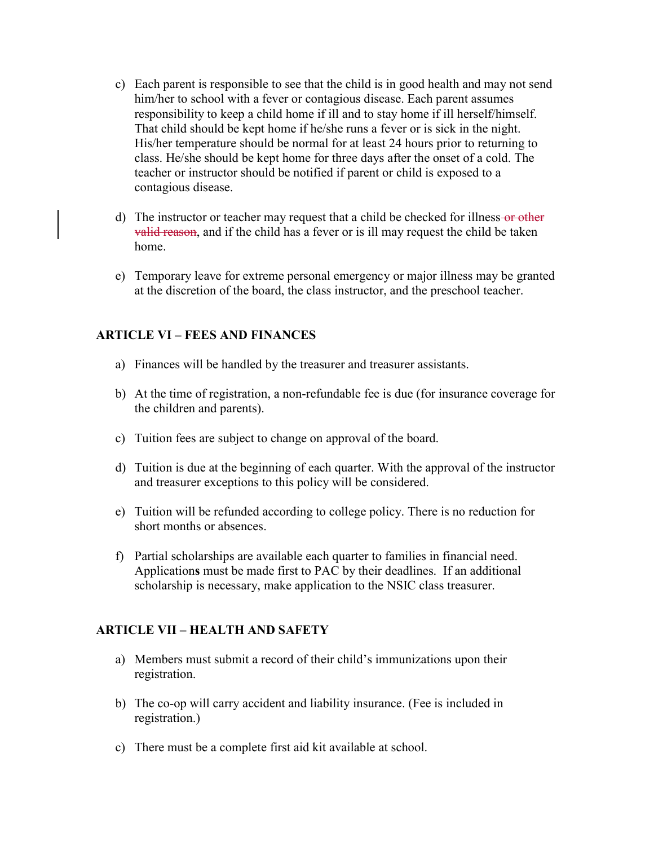- c) Each parent is responsible to see that the child is in good health and may not send him/her to school with a fever or contagious disease. Each parent assumes responsibility to keep a child home if ill and to stay home if ill herself/himself. That child should be kept home if he/she runs a fever or is sick in the night. His/her temperature should be normal for at least 24 hours prior to returning to class. He/she should be kept home for three days after the onset of a cold. The teacher or instructor should be notified if parent or child is exposed to a contagious disease.
- d) The instructor or teacher may request that a child be checked for illness-or other valid reason, and if the child has a fever or is ill may request the child be taken home.
- e) Temporary leave for extreme personal emergency or major illness may be granted at the discretion of the board, the class instructor, and the preschool teacher.

## ARTICLE VI – FEES AND FINANCES

- a) Finances will be handled by the treasurer and treasurer assistants.
- b) At the time of registration, a non-refundable fee is due (for insurance coverage for the children and parents).
- c) Tuition fees are subject to change on approval of the board.
- d) Tuition is due at the beginning of each quarter. With the approval of the instructor and treasurer exceptions to this policy will be considered.
- e) Tuition will be refunded according to college policy. There is no reduction for short months or absences.
- f) Partial scholarships are available each quarter to families in financial need. Applications must be made first to PAC by their deadlines. If an additional scholarship is necessary, make application to the NSIC class treasurer.

#### ARTICLE VII – HEALTH AND SAFETY

- a) Members must submit a record of their child's immunizations upon their registration.
- b) The co-op will carry accident and liability insurance. (Fee is included in registration.)
- c) There must be a complete first aid kit available at school.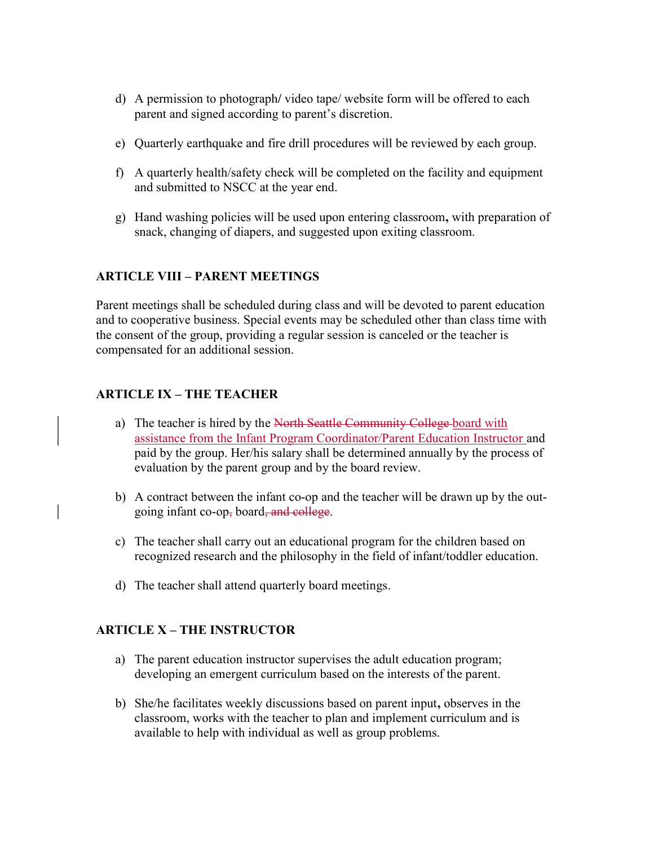- d) A permission to photograph/ video tape/ website form will be offered to each parent and signed according to parent's discretion.
- e) Quarterly earthquake and fire drill procedures will be reviewed by each group.
- f) A quarterly health/safety check will be completed on the facility and equipment and submitted to NSCC at the year end.
- g) Hand washing policies will be used upon entering classroom, with preparation of snack, changing of diapers, and suggested upon exiting classroom.

## ARTICLE VIII – PARENT MEETINGS

Parent meetings shall be scheduled during class and will be devoted to parent education and to cooperative business. Special events may be scheduled other than class time with the consent of the group, providing a regular session is canceled or the teacher is compensated for an additional session.

# ARTICLE IX – THE TEACHER

- a) The teacher is hired by the North Seattle Community College-board with assistance from the Infant Program Coordinator/Parent Education Instructor and paid by the group. Her/his salary shall be determined annually by the process of evaluation by the parent group and by the board review.
- b) A contract between the infant co-op and the teacher will be drawn up by the outgoing infant co-op, board, and college.
- c) The teacher shall carry out an educational program for the children based on recognized research and the philosophy in the field of infant/toddler education.
- d) The teacher shall attend quarterly board meetings.

## ARTICLE X – THE INSTRUCTOR

- a) The parent education instructor supervises the adult education program; developing an emergent curriculum based on the interests of the parent.
- b) She/he facilitates weekly discussions based on parent input, observes in the classroom, works with the teacher to plan and implement curriculum and is available to help with individual as well as group problems.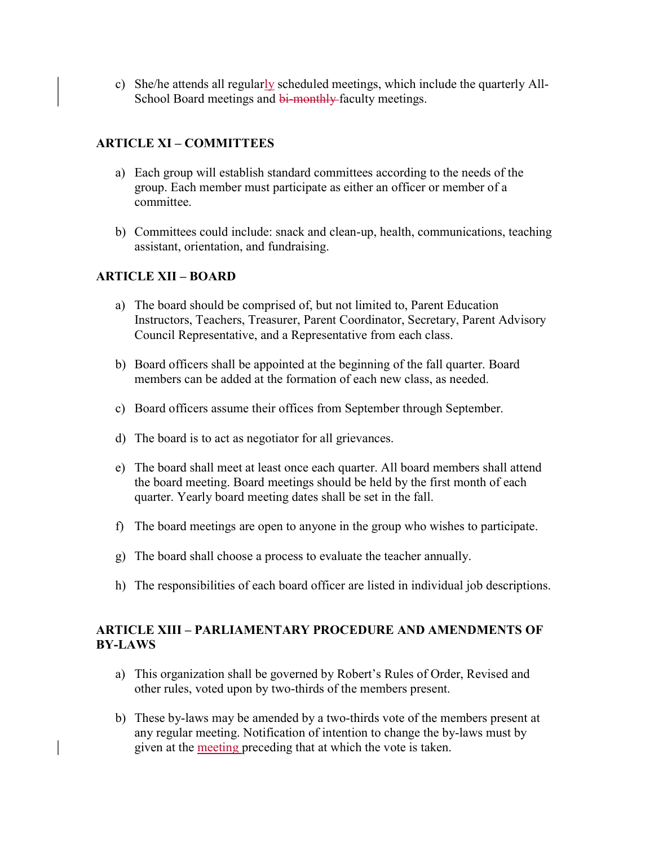c) She/he attends all regularly scheduled meetings, which include the quarterly All-School Board meetings and bi-monthly-faculty meetings.

## ARTICLE XI – COMMITTEES

- a) Each group will establish standard committees according to the needs of the group. Each member must participate as either an officer or member of a committee.
- b) Committees could include: snack and clean-up, health, communications, teaching assistant, orientation, and fundraising.

## ARTICLE XII – BOARD

- a) The board should be comprised of, but not limited to, Parent Education Instructors, Teachers, Treasurer, Parent Coordinator, Secretary, Parent Advisory Council Representative, and a Representative from each class.
- b) Board officers shall be appointed at the beginning of the fall quarter. Board members can be added at the formation of each new class, as needed.
- c) Board officers assume their offices from September through September.
- d) The board is to act as negotiator for all grievances.
- e) The board shall meet at least once each quarter. All board members shall attend the board meeting. Board meetings should be held by the first month of each quarter. Yearly board meeting dates shall be set in the fall.
- f) The board meetings are open to anyone in the group who wishes to participate.
- g) The board shall choose a process to evaluate the teacher annually.
- h) The responsibilities of each board officer are listed in individual job descriptions.

## ARTICLE XIII – PARLIAMENTARY PROCEDURE AND AMENDMENTS OF BY-LAWS

- a) This organization shall be governed by Robert's Rules of Order, Revised and other rules, voted upon by two-thirds of the members present.
- b) These by-laws may be amended by a two-thirds vote of the members present at any regular meeting. Notification of intention to change the by-laws must by given at the meeting preceding that at which the vote is taken.